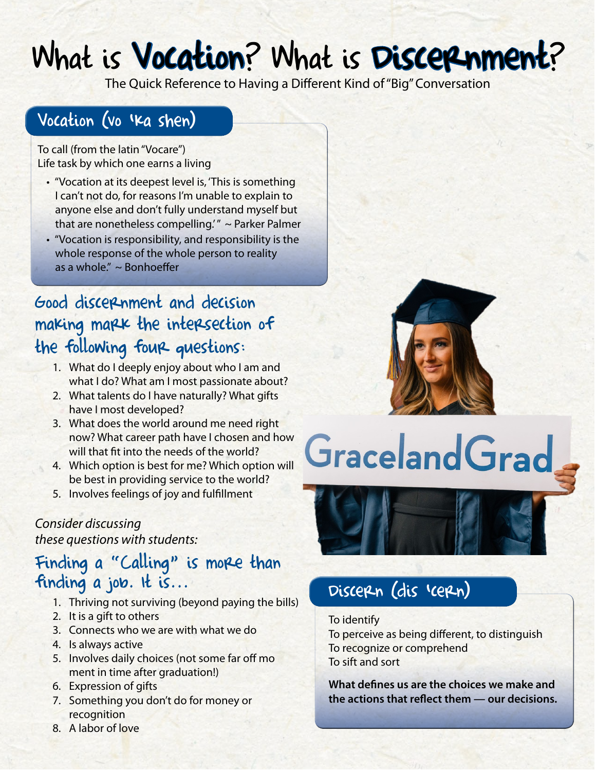## What is Vocation? What is Discerenment?

The Quick Reference to Having a Different Kind of "Big" Conversation

## Vocation (vo 'ka shen)

To call (from the latin "Vocare") Life task by which one earns a living

- "Vocation at its deepest level is, 'This is something I can't not do, for reasons I'm unable to explain to anyone else and don't fully understand myself but that are nonetheless compelling."  $\sim$  Parker Palmer
- "Vocation is responsibility, and responsibility is the whole response of the whole person to reality as a whole." ~ Bonhoeffer

## Good discernment and decision making mark the intersection of the following four questions:

- 1. What do I deeply enjoy about who I am and what I do? What am I most passionate about?
- 2. What talents do I have naturally? What gifts have I most developed?
- 3. What does the world around me need right now? What career path have I chosen and how will that fit into the needs of the world?
- 4. Which option is best for me? Which option will be best in providing service to the world?
- 5. Involves feelings of joy and fulfillment

#### *Consider discussing*

*these questions with students:*

## Finding a "Calling" is more than finding a job. It is...

- 1. Thriving not surviving (beyond paying the bills)
- 2. It is a gift to others
- 3. Connects who we are with what we do
- 4. Is always active
- 5. Involves daily choices (not some far off mo ment in time after graduation!)
- 6. Expression of gifts
- 7. Something you don't do for money or **recognition**
- 8. A labor of love



# **Graceland Grad**



## Discern (dis 'cern)

#### To identify

To perceive as being different, to distinguish To recognize or comprehend To sift and sort

**What defines us are the choices we make and the actions that reflect them — our decisions.**